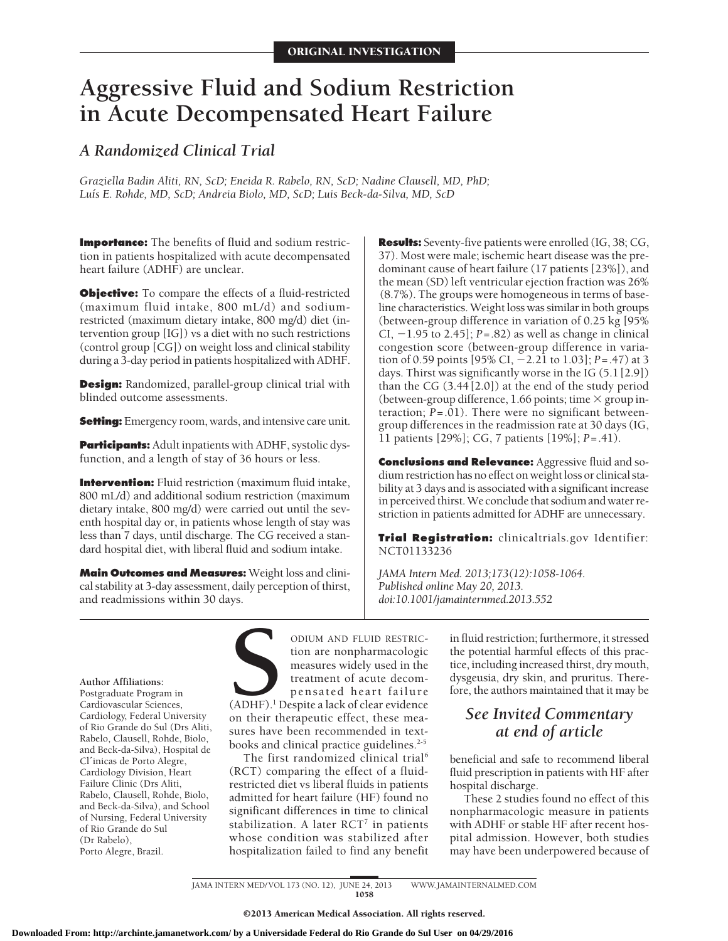# **Aggressive Fluid and Sodium Restriction in Acute Decompensated Heart Failure**

# *A Randomized Clinical Trial*

*Graziella Badin Aliti, RN, ScD; Eneida R. Rabelo, RN, ScD; Nadine Clausell, MD, PhD; Lu´ıs E. Rohde, MD, ScD; Andreia Biolo, MD, ScD; Luis Beck-da-Silva, MD, ScD*

**Importance:** The benefits of fluid and sodium restriction in patients hospitalized with acute decompensated heart failure (ADHF) are unclear.

**Objective:** To compare the effects of a fluid-restricted (maximum fluid intake, 800 mL/d) and sodiumrestricted (maximum dietary intake, 800 mg/d) diet (intervention group [IG]) vs a diet with no such restrictions (control group [CG]) on weight loss and clinical stability during a 3-day period in patients hospitalized with ADHF.

**Design:** Randomized, parallel-group clinical trial with blinded outcome assessments.

**Setting:** Emergency room, wards, and intensive care unit.

**Participants:** Adult inpatients with ADHF, systolic dysfunction, and a length of stay of 36 hours or less.

**Intervention:** Fluid restriction (maximum fluid intake, 800 mL/d) and additional sodium restriction (maximum dietary intake, 800 mg/d) were carried out until the seventh hospital day or, in patients whose length of stay was less than 7 days, until discharge. The CG received a standard hospital diet, with liberal fluid and sodium intake.

**Main Outcomes and Measures:** Weight loss and clinical stability at 3-day assessment, daily perception of thirst, and readmissions within 30 days.

**Results:** Seventy-five patients were enrolled (IG, 38; CG, 37). Most were male; ischemic heart disease was the predominant cause of heart failure (17 patients [23%]), and the mean (SD) left ventricular ejection fraction was 26% (8.7%). The groups were homogeneous in terms of baseline characteristics.Weight loss was similar in both groups (between-group difference in variation of 0.25 kg [95% CI,  $-1.95$  to 2.45];  $P = .82$ ) as well as change in clinical congestion score (between-group difference in variation of 0.59 points [95% CI, -2.21 to 1.03]; *P*=.47) at 3 days. Thirst was significantly worse in the IG (5.1 [2.9]) than the CG (3.44 [2.0]) at the end of the study period (between-group difference, 1.66 points; time  $\times$  group interaction; *P*=.01). There were no significant betweengroup differences in the readmission rate at 30 days (IG, 11 patients [29%]; CG, 7 patients [19%]; *P*=.41).

**Conclusions and Relevance:** Aggressive fluid and sodium restriction has no effect on weight loss or clinical stability at 3 days and is associated with a significant increase in perceived thirst.We conclude that sodium and water restriction in patients admitted for ADHF are unnecessary.

**Trial Registration:** clinicaltrials.gov Identifier: NCT01133236

*JAMA Intern Med. 2013;173(12):1058-1064. Published online May 20, 2013. doi:10.1001/jamainternmed.2013.552*

**Author Affiliations:** Postgraduate Program in Cardiovascular Sciences, Cardiology, Federal University of Rio Grande do Sul (Drs Aliti, Rabelo, Clausell, Rohde, Biolo, and Beck-da-Silva), Hospital de Cl´inicas de Porto Alegre, Cardiology Division, Heart Failure Clinic (Drs Aliti, Rabelo, Clausell, Rohde, Biolo, and Beck-da-Silva), and School of Nursing, Federal University of Rio Grande do Sul (Dr Rabelo), Porto Alegre, Brazil.

ODIUM AND FLUID RESTRIC-<br>
tion are nonpharmacologic<br>
measures widely used in the<br>
treatment of acute decom-<br>
pensated heart failure<br>
(ADHF).<sup>1</sup> Despite a lack of clear evidence<br>
on their therapeutic effect, these meation are nonpharmacologic measures widely used in the treatment of acute decompensated heart failure (ADHF).<sup>1</sup> Despite a lack of clear evidence on their therapeutic effect, these measures have been recommended in textbooks and clinical practice guidelines.<sup>2-5</sup>

The first randomized clinical trial<sup>6</sup> (RCT) comparing the effect of a fluidrestricted diet vs liberal fluids in patients admitted for heart failure (HF) found no significant differences in time to clinical stabilization. A later  $RCT^7$  in patients whose condition was stabilized after hospitalization failed to find any benefit

in fluid restriction; furthermore, it stressed the potential harmful effects of this practice, including increased thirst, dry mouth, dysgeusia, dry skin, and pruritus. Therefore, the authors maintained that it may be

# *See Invited Commentary at end of article*

beneficial and safe to recommend liberal fluid prescription in patients with HF after hospital discharge.

These 2 studies found no effect of this nonpharmacologic measure in patients with ADHF or stable HF after recent hospital admission. However, both studies may have been underpowered because of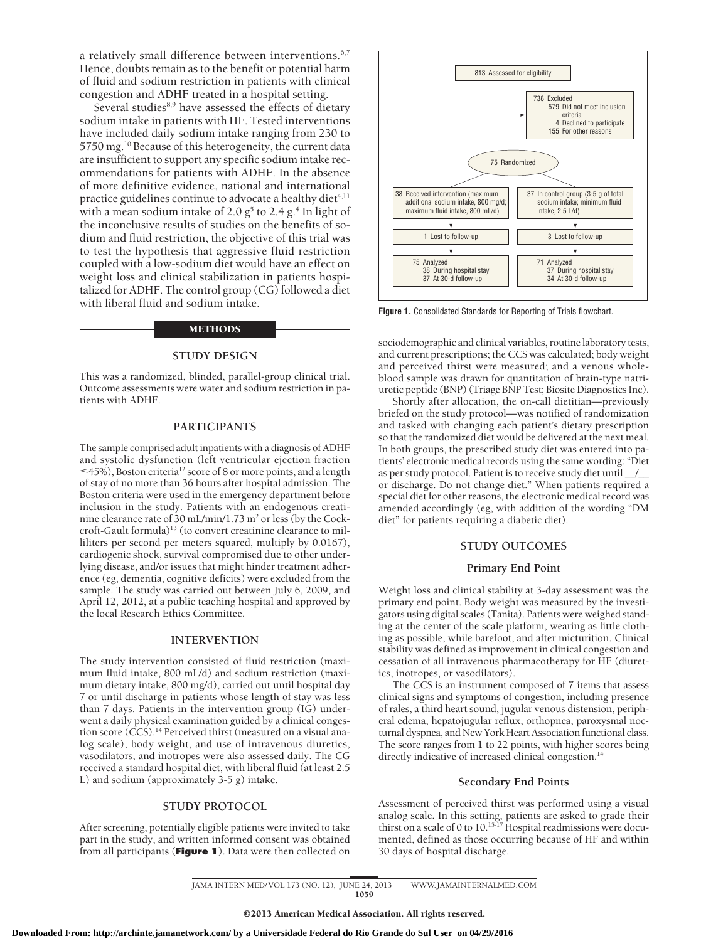a relatively small difference between interventions.<sup>6,7</sup> Hence, doubts remain as to the benefit or potential harm of fluid and sodium restriction in patients with clinical congestion and ADHF treated in a hospital setting.

Several studies<sup>8,9</sup> have assessed the effects of dietary sodium intake in patients with HF. Tested interventions have included daily sodium intake ranging from 230 to 5750 mg.10 Because of this heterogeneity, the current data are insufficient to support any specific sodium intake recommendations for patients with ADHF. In the absence of more definitive evidence, national and international practice guidelines continue to advocate a healthy diet $4,11$ with a mean sodium intake of 2.0  $g^5$  to 2.4  $g^4$ . In light of the inconclusive results of studies on the benefits of sodium and fluid restriction, the objective of this trial was to test the hypothesis that aggressive fluid restriction coupled with a low-sodium diet would have an effect on weight loss and clinical stabilization in patients hospitalized for ADHF. The control group (CG) followed a diet with liberal fluid and sodium intake.

#### METHODS

#### **STUDY DESIGN**

This was a randomized, blinded, parallel-group clinical trial. Outcome assessments were water and sodium restriction in patients with ADHF.

#### **PARTICIPANTS**

The sample comprised adult inpatients with a diagnosis of ADHF and systolic dysfunction (left ventricular ejection fraction  $\leq$ 45%), Boston criteria<sup>12</sup> score of 8 or more points, and a length of stay of no more than 36 hours after hospital admission. The Boston criteria were used in the emergency department before inclusion in the study. Patients with an endogenous creatinine clearance rate of 30 mL/min/1.73 m<sup>2</sup> or less (by the Cockcroft-Gault formula)<sup>13</sup> (to convert creatinine clearance to milliliters per second per meters squared, multiply by 0.0167), cardiogenic shock, survival compromised due to other underlying disease, and/or issues that might hinder treatment adherence (eg, dementia, cognitive deficits) were excluded from the sample. The study was carried out between July 6, 2009, and April 12, 2012, at a public teaching hospital and approved by the local Research Ethics Committee.

### **INTERVENTION**

The study intervention consisted of fluid restriction (maximum fluid intake, 800 mL/d) and sodium restriction (maximum dietary intake, 800 mg/d), carried out until hospital day 7 or until discharge in patients whose length of stay was less than 7 days. Patients in the intervention group (IG) underwent a daily physical examination guided by a clinical congestion score (CCS).<sup>14</sup> Perceived thirst (measured on a visual analog scale), body weight, and use of intravenous diuretics, vasodilators, and inotropes were also assessed daily. The CG received a standard hospital diet, with liberal fluid (at least 2.5 L) and sodium (approximately 3-5 g) intake.

#### **STUDY PROTOCOL**

After screening, potentially eligible patients were invited to take part in the study, and written informed consent was obtained from all participants (**Figure 1**). Data were then collected on



**Figure 1.** Consolidated Standards for Reporting of Trials flowchart.

sociodemographic and clinical variables, routine laboratory tests, and current prescriptions; the CCS was calculated; body weight and perceived thirst were measured; and a venous wholeblood sample was drawn for quantitation of brain-type natriuretic peptide (BNP) (Triage BNP Test; Biosite Diagnostics Inc).

Shortly after allocation, the on-call dietitian—previously briefed on the study protocol—was notified of randomization and tasked with changing each patient's dietary prescription so that the randomized diet would be delivered at the next meal. In both groups, the prescribed study diet was entered into patients' electronic medical records using the same wording: "Diet as per study protocol. Patient is to receive study diet until \_\_/\_\_ or discharge. Do not change diet." When patients required a special diet for other reasons, the electronic medical record was amended accordingly (eg, with addition of the wording "DM diet" for patients requiring a diabetic diet).

#### **STUDY OUTCOMES**

#### **Primary End Point**

Weight loss and clinical stability at 3-day assessment was the primary end point. Body weight was measured by the investigators using digital scales (Tanita). Patients were weighed standing at the center of the scale platform, wearing as little clothing as possible, while barefoot, and after micturition. Clinical stability was defined as improvement in clinical congestion and cessation of all intravenous pharmacotherapy for HF (diuretics, inotropes, or vasodilators).

The CCS is an instrument composed of 7 items that assess clinical signs and symptoms of congestion, including presence of rales, a third heart sound, jugular venous distension, peripheral edema, hepatojugular reflux, orthopnea, paroxysmal nocturnal dyspnea, and New York Heart Association functional class. The score ranges from 1 to 22 points, with higher scores being directly indicative of increased clinical congestion.<sup>14</sup>

#### **Secondary End Points**

Assessment of perceived thirst was performed using a visual analog scale. In this setting, patients are asked to grade their thirst on a scale of 0 to 10.<sup>15-17</sup> Hospital readmissions were documented, defined as those occurring because of HF and within 30 days of hospital discharge.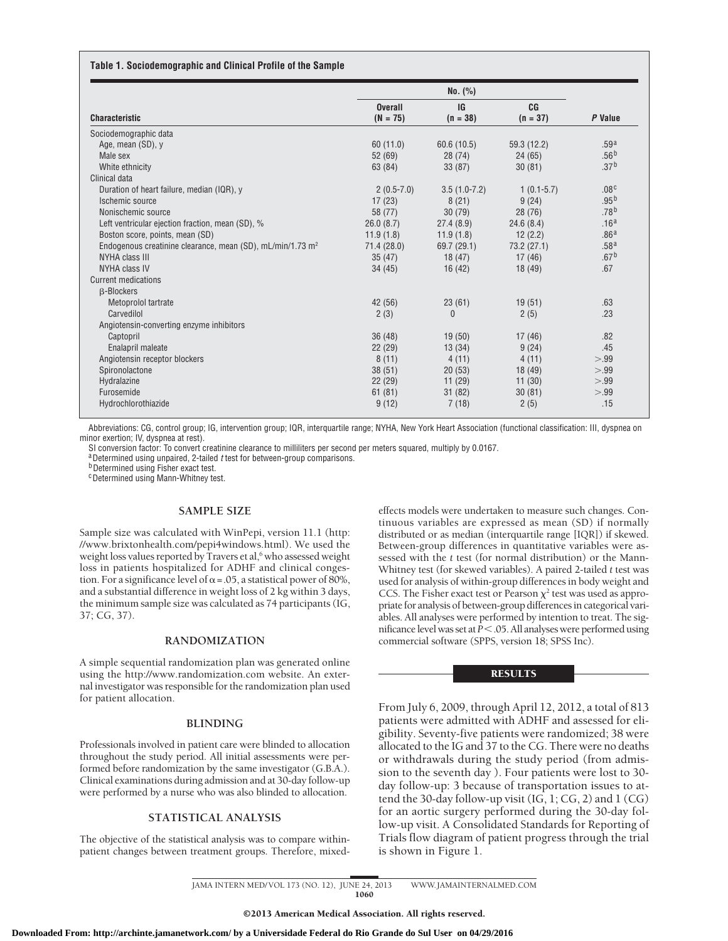#### **Table 1. Sociodemographic and Clinical Profile of the Sample**

|                                                                        | No. (%)        |                |                |                  |  |
|------------------------------------------------------------------------|----------------|----------------|----------------|------------------|--|
|                                                                        | <b>Overall</b> | <b>IG</b>      | C <sub>G</sub> |                  |  |
| <b>Characteristic</b>                                                  | $(N = 75)$     | $(n = 38)$     | $(n = 37)$     | P Value          |  |
| Sociodemographic data                                                  |                |                |                |                  |  |
| Age, mean (SD), y                                                      | 60(11.0)       | 60.6(10.5)     | 59.3 (12.2)    | .59 <sup>a</sup> |  |
| Male sex                                                               | 52(69)         | 28(74)         | 24(65)         | .56 <sup>b</sup> |  |
| White ethnicity                                                        | 63 (84)        | 33(87)         | 30(81)         | .37 <sup>b</sup> |  |
| Clinical data                                                          |                |                |                |                  |  |
| Duration of heart failure, median (IQR), y                             | $2(0.5-7.0)$   | $3.5(1.0-7.2)$ | $1(0.1-5.7)$   | .08 <sup>c</sup> |  |
| Ischemic source                                                        | 17(23)         | 8(21)          | 9(24)          | .95 <sup>b</sup> |  |
| Nonischemic source                                                     | 58 (77)        | 30(79)         | 28(76)         | .78 <sup>b</sup> |  |
| Left ventricular ejection fraction, mean (SD), %                       | 26.0(8.7)      | 27.4(8.9)      | 24.6(8.4)      | .16 <sup>a</sup> |  |
| Boston score, points, mean (SD)                                        | 11.9(1.8)      | 11.9(1.8)      | 12(2.2)        | .86 <sup>a</sup> |  |
| Endogenous creatinine clearance, mean (SD), mL/min/1.73 m <sup>2</sup> | 71.4 (28.0)    | 69.7(29.1)     | 73.2 (27.1)    | .58 <sup>a</sup> |  |
| NYHA class III                                                         | 35(47)         | 18(47)         | 17(46)         | .67 <sup>b</sup> |  |
| NYHA class IV                                                          | 34(45)         | 16(42)         | 18(49)         | .67              |  |
| <b>Current medications</b>                                             |                |                |                |                  |  |
| <b>B-Blockers</b>                                                      |                |                |                |                  |  |
| Metoprolol tartrate                                                    | 42 (56)        | 23(61)         | 19(51)         | .63              |  |
| Carvedilol                                                             | 2(3)           | $\mathbf{0}$   | 2(5)           | .23              |  |
| Angiotensin-converting enzyme inhibitors                               |                |                |                |                  |  |
| Captopril                                                              | 36(48)         | 19(50)         | 17(46)         | .82              |  |
| Enalapril maleate                                                      | 22(29)         | 13(34)         | 9(24)          | .45              |  |
| Angiotensin receptor blockers                                          | 8(11)          | 4(11)          | 4(11)          | > 99             |  |
| Spironolactone                                                         | 38(51)         | 20(53)         | 18(49)         | > 0.99           |  |
| Hydralazine                                                            | 22(29)         | 11(29)         | 11(30)         | > 0.99           |  |
| Furosemide                                                             | 61(81)         | 31(82)         | 30(81)         | >.99             |  |
| Hydrochlorothiazide                                                    | 9(12)          | 7(18)          | 2(5)           | .15              |  |

Abbreviations: CG, control group; IG, intervention group; IQR, interquartile range; NYHA, New York Heart Association (functional classification: III, dyspnea on minor exertion; IV, dyspnea at rest).

SI conversion factor: To convert creatinine clearance to milliliters per second per meters squared, multiply by 0.0167.

a Determined using unpaired, 2-tailed *t* test for between-group comparisons.<br>b Determined using Fisher exact test.

cDetermined using Mann-Whitney test.

#### **SAMPLE SIZE**

Sample size was calculated with WinPepi, version 11.1 (http: //www.brixtonhealth.com/pepi4windows.html). We used the weight loss values reported by Travers et al,<sup>6</sup> who assessed weight loss in patients hospitalized for ADHF and clinical congestion. For a significance level of  $\alpha$  = .05, a statistical power of 80%, and a substantial difference in weight loss of 2 kg within 3 days, the minimum sample size was calculated as 74 participants (IG, 37; CG, 37).

#### **RANDOMIZATION**

A simple sequential randomization plan was generated online using the http://www.randomization.com website. An external investigator was responsible for the randomization plan used for patient allocation.

#### **BLINDING**

Professionals involved in patient care were blinded to allocation throughout the study period. All initial assessments were performed before randomization by the same investigator (G.B.A.). Clinical examinations during admission and at 30-day follow-up were performed by a nurse who was also blinded to allocation.

#### **STATISTICAL ANALYSIS**

The objective of the statistical analysis was to compare withinpatient changes between treatment groups. Therefore, mixedeffects models were undertaken to measure such changes. Continuous variables are expressed as mean (SD) if normally distributed or as median (interquartile range [IQR]) if skewed. Between-group differences in quantitative variables were assessed with the *t* test (for normal distribution) or the Mann-Whitney test (for skewed variables). A paired 2-tailed *t* test was used for analysis of within-group differences in body weight and CCS. The Fisher exact test or Pearson  $\chi^2$  test was used as appropriate for analysis of between-group differences in categorical variables. All analyses were performed by intention to treat. The significance level was set at *P* < .05. All analyses were performed using commercial software (SPPS, version 18; SPSS Inc).

## **RESULTS**

From July 6, 2009, through April 12, 2012, a total of 813 patients were admitted with ADHF and assessed for eligibility. Seventy-five patients were randomized; 38 were allocated to the IG and 37 to the CG. There were no deaths or withdrawals during the study period (from admission to the seventh day ). Four patients were lost to 30 day follow-up: 3 because of transportation issues to attend the 30-day follow-up visit  $(IG, 1; CG, 2)$  and  $1 (CG)$ for an aortic surgery performed during the 30-day follow-up visit. A Consolidated Standards for Reporting of Trials flow diagram of patient progress through the trial is shown in Figure 1.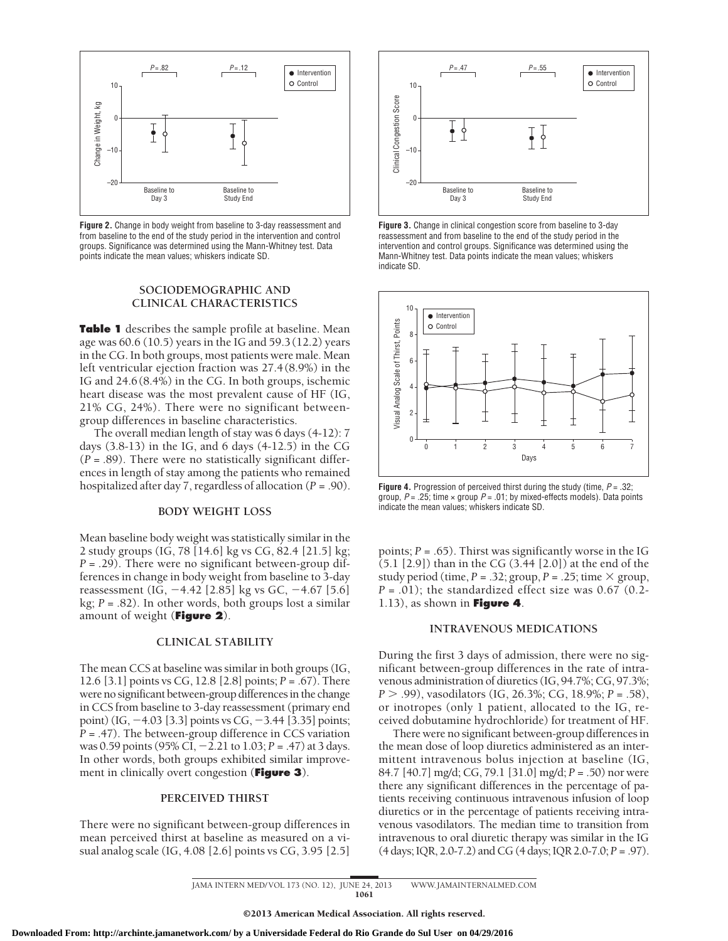

**Figure 2.** Change in body weight from baseline to 3-day reassessment and from baseline to the end of the study period in the intervention and control groups. Significance was determined using the Mann-Whitney test. Data points indicate the mean values; whiskers indicate SD.

#### **SOCIODEMOGRAPHIC AND CLINICAL CHARACTERISTICS**

**Table 1** describes the sample profile at baseline. Mean age was 60.6 (10.5) years in the IG and 59.3 (12.2) years in the CG. In both groups, most patients were male. Mean left ventricular ejection fraction was 27.4 (8.9%) in the IG and 24.6 (8.4%) in the CG. In both groups, ischemic heart disease was the most prevalent cause of HF (IG, 21% CG, 24%). There were no significant betweengroup differences in baseline characteristics.

The overall median length of stay was 6 days (4-12): 7 days  $(3.8-13)$  in the IG, and 6 days  $(4-12.5)$  in the CG (*P* = .89). There were no statistically significant differences in length of stay among the patients who remained hospitalized after day 7, regardless of allocation (*P* = .90).

#### **BODY WEIGHT LOSS**

Mean baseline body weight was statistically similar in the 2 study groups (IG, 78 [14.6] kg vs CG, 82.4 [21.5] kg; *P* = .29). There were no significant between-group differences in change in body weight from baseline to 3-day reassessment (IG, -4.42 [2.85] kg vs GC, -4.67 [5.6] kg; *P* = .82). In other words, both groups lost a similar amount of weight (**Figure 2**).

#### **CLINICAL STABILITY**

The mean CCS at baseline was similar in both groups (IG, 12.6 [3.1] points vs CG, 12.8 [2.8] points; *P* = .67). There were no significant between-group differences in the change in CCS from baseline to 3-day reassessment (primary end point) (IG, -4.03 [3.3] points vs CG, -3.44 [3.35] points; *P* = .47). The between-group difference in CCS variation was 0.59 points (95% CI, -2.21 to 1.03; *P* = .47) at 3 days. In other words, both groups exhibited similar improvement in clinically overt congestion (**Figure 3**).

# **PERCEIVED THIRST**

There were no significant between-group differences in mean perceived thirst at baseline as measured on a visual analog scale (IG, 4.08 [2.6] points vs CG, 3.95 [2.5]



**Figure 3.** Change in clinical congestion score from baseline to 3-day reassessment and from baseline to the end of the study period in the intervention and control groups. Significance was determined using the Mann-Whitney test. Data points indicate the mean values; whiskers indicate SD.



**Figure 4.** Progression of perceived thirst during the study (time, *P* = .32; group, *P* = .25; time × group *P* = .01; by mixed-effects models). Data points indicate the mean values; whiskers indicate SD.

points;  $P = .65$ ). Thirst was significantly worse in the IG (5.1 [2.9]) than in the CG (3.44 [2.0]) at the end of the study period (time,  $P = .32$ ; group,  $P = .25$ ; time  $\times$  group, *P* = .01); the standardized effect size was 0.67 (0.2- 1.13), as shown in **Figure 4**.

## **INTRAVENOUS MEDICATIONS**

During the first 3 days of admission, there were no significant between-group differences in the rate of intravenous administration of diuretics (IG, 94.7%; CG, 97.3%; *P*  $> .99$ , vasodilators (IG, 26.3%; CG, 18.9%; *P* = .58), or inotropes (only 1 patient, allocated to the IG, received dobutamine hydrochloride) for treatment of HF.

There were no significant between-group differences in the mean dose of loop diuretics administered as an intermittent intravenous bolus injection at baseline (IG, 84.7 [40.7] mg/d; CG, 79.1 [31.0] mg/d; *P* = .50) nor were there any significant differences in the percentage of patients receiving continuous intravenous infusion of loop diuretics or in the percentage of patients receiving intravenous vasodilators. The median time to transition from intravenous to oral diuretic therapy was similar in the IG (4 days; IQR, 2.0-7.2) and CG (4 days; IQR 2.0-7.0; *P* = .97).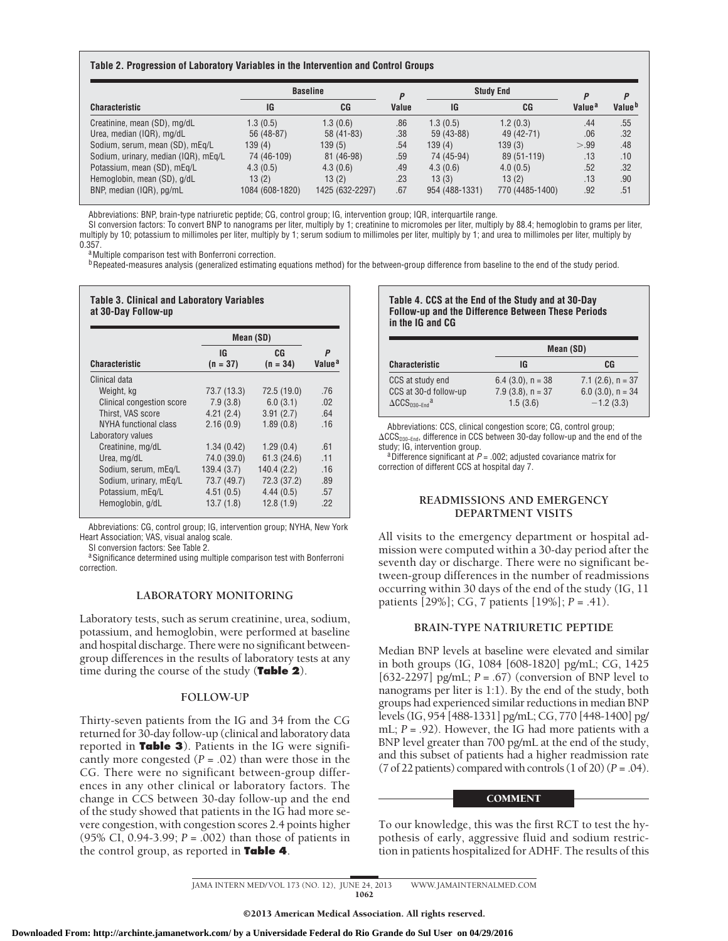#### **Table 2. Progression of Laboratory Variables in the Intervention and Control Groups**

|                                      | <b>Baseline</b> |                 |       |                | <b>Study End</b> |                    | D                  |
|--------------------------------------|-----------------|-----------------|-------|----------------|------------------|--------------------|--------------------|
| <b>Characteristic</b>                | IG              | CG              | Value | IG             | CG               | Value <sup>a</sup> | Value <sup>b</sup> |
| Creatinine, mean (SD), mg/dL         | 1.3(0.5)        | 1.3(0.6)        | .86   | 1.3(0.5)       | 1.2(0.3)         | .44                | .55                |
| Urea, median (IQR), mg/dL            | 56 (48-87)      | $58(41-83)$     | .38   | 59 (43-88)     | 49 (42-71)       | .06                | .32                |
| Sodium, serum, mean (SD), mEq/L      | 139 (4)         | 139(5)          | .54   | 139(4)         | 139(3)           | > 99               | .48                |
| Sodium, urinary, median (IQR), mEq/L | 74 (46-109)     | 81 (46-98)      | .59   | 74 (45-94)     | 89 (51-119)      | .13                | .10                |
| Potassium, mean (SD), mEg/L          | 4.3(0.5)        | 4.3(0.6)        | .49   | 4.3(0.6)       | 4.0(0.5)         | .52                | .32                |
| Hemoglobin, mean (SD), g/dL          | 13(2)           | 13(2)           | .23   | 13(3)          | 13(2)            | .13                | .90                |
| BNP, median (IQR), pg/mL             | 1084 (608-1820) | 1425 (632-2297) | .67   | 954 (488-1331) | 770 (4485-1400)  | .92                | .51                |

Abbreviations: BNP, brain-type natriuretic peptide; CG, control group; IG, intervention group; IQR, interquartile range.

SI conversion factors: To convert BNP to nanograms per liter, multiply by 1; creatinine to micromoles per liter, multiply by 88.4; hemoglobin to grams per liter, multiply by 10; potassium to millimoles per liter, multiply by 1; serum sodium to millimoles per liter, multiply by 1; and urea to millimoles per liter, multiply by

**Table 3. Clinical and Laboratory Variables**

<sup>a</sup>Multiple comparison test with Bonferroni correction.<br><sup>b</sup>Repeated-measures analysis (generalized estimating equations method) for the between-group difference from baseline to the end of the study period.

|                                            | Mean (SD)        |                  |                         |  |
|--------------------------------------------|------------------|------------------|-------------------------|--|
| Characteristic                             | IG<br>$(n = 37)$ | CG<br>$(n = 34)$ | P<br>Value <sup>a</sup> |  |
| Clinical data                              |                  |                  |                         |  |
| Weight, kg                                 | 73.7 (13.3)      | 72.5 (19.0)      | .76                     |  |
| Clinical congestion score                  | 7.9(3.8)         | 6.0(3.1)         | .02                     |  |
| Thirst, VAS score                          | 4.21(2.4)        | 3.91(2.7)        | .64                     |  |
| NYHA functional class<br>Laboratory values | 2.16(0.9)        | 1.89(0.8)        | .16                     |  |
| Creatinine, mg/dL                          | 1.34(0.42)       | 1.29(0.4)        | .61                     |  |
| Urea, mg/dL                                | 74.0 (39.0)      | 61.3(24.6)       | .11                     |  |
| Sodium, serum, mEg/L                       | 139.4(3.7)       | 140.4(2.2)       | .16                     |  |
| Sodium, urinary, mEg/L                     | 73.7 (49.7)      | 72.3 (37.2)      | .89                     |  |
| Potassium, mEg/L                           | 4.51(0.5)        | 4.44(0.5)        | .57                     |  |
| Hemoglobin, g/dL                           | 13.7(1.8)        | 12.8(1.9)        | .22                     |  |

Abbreviations: CG, control group; IG, intervention group; NYHA, New York Heart Association; VAS, visual analog scale.

SI conversion factors: See Table 2.

a Significance determined using multiple comparison test with Bonferroni correction.

#### **LABORATORY MONITORING**

Laboratory tests, such as serum creatinine, urea, sodium, potassium, and hemoglobin, were performed at baseline and hospital discharge. There were no significant betweengroup differences in the results of laboratory tests at any time during the course of the study (**Table 2**).

#### **FOLLOW-UP**

Thirty-seven patients from the IG and 34 from the CG returned for 30-day follow-up (clinical and laboratory data reported in **Table 3**). Patients in the IG were significantly more congested  $(P = .02)$  than were those in the CG. There were no significant between-group differences in any other clinical or laboratory factors. The change in CCS between 30-day follow-up and the end of the study showed that patients in the IG had more severe congestion, with congestion scores 2.4 points higher (95% CI, 0.94-3.99; *P* = .002) than those of patients in the control group, as reported in **Table 4**.

#### **Table 4. CCS at the End of the Study and at 30-Day Follow-up and the Difference Between These Periods in the IG and CG**

|                                                                                |                                                            | Mean (SD)                                                    |  |  |
|--------------------------------------------------------------------------------|------------------------------------------------------------|--------------------------------------------------------------|--|--|
| <b>Characteristic</b>                                                          | IG                                                         | CG                                                           |  |  |
| CCS at study end<br>CCS at 30-d follow-up<br>$\Delta$ CCS <sub>030-Fnd</sub> a | $6.4$ (3.0), $n = 38$<br>$7.9$ (3.8), $n = 37$<br>1.5(3.6) | 7.1 $(2.6)$ , n = 37<br>$6.0$ (3.0), $n = 34$<br>$-1.2(3.3)$ |  |  |

Abbreviations: CCS, clinical congestion score; CG, control group;  $\Delta\text{CCS}_{\texttt{D30-End}}$ , difference in CCS between 30-day follow-up and the end of the study; IG, intervention group.<br><sup>a</sup> Difference significant at *P* = .002; adjusted covariance matrix for

correction of different CCS at hospital day 7.

#### **READMISSIONS AND EMERGENCY DEPARTMENT VISITS**

All visits to the emergency department or hospital admission were computed within a 30-day period after the seventh day or discharge. There were no significant between-group differences in the number of readmissions occurring within 30 days of the end of the study (IG, 11 patients [29%]; CG, 7 patients [19%]; *P* = .41).

# **BRAIN-TYPE NATRIURETIC PEPTIDE**

Median BNP levels at baseline were elevated and similar in both groups (IG, 1084 [608-1820] pg/mL; CG, 1425 [632-2297] pg/mL; *P* = .67) (conversion of BNP level to nanograms per liter is 1:1). By the end of the study, both groups had experienced similar reductions in median BNP levels (IG, 954 [488-1331] pg/mL; CG, 770 [448-1400] pg/ mL; *P* = .92). However, the IG had more patients with a BNP level greater than 700 pg/mL at the end of the study, and this subset of patients had a higher readmission rate (7 of 22 patients) compared with controls (1 of 20) (*P* = .04).

## **COMMENT**

To our knowledge, this was the first RCT to test the hypothesis of early, aggressive fluid and sodium restriction in patients hospitalized for ADHF. The results of this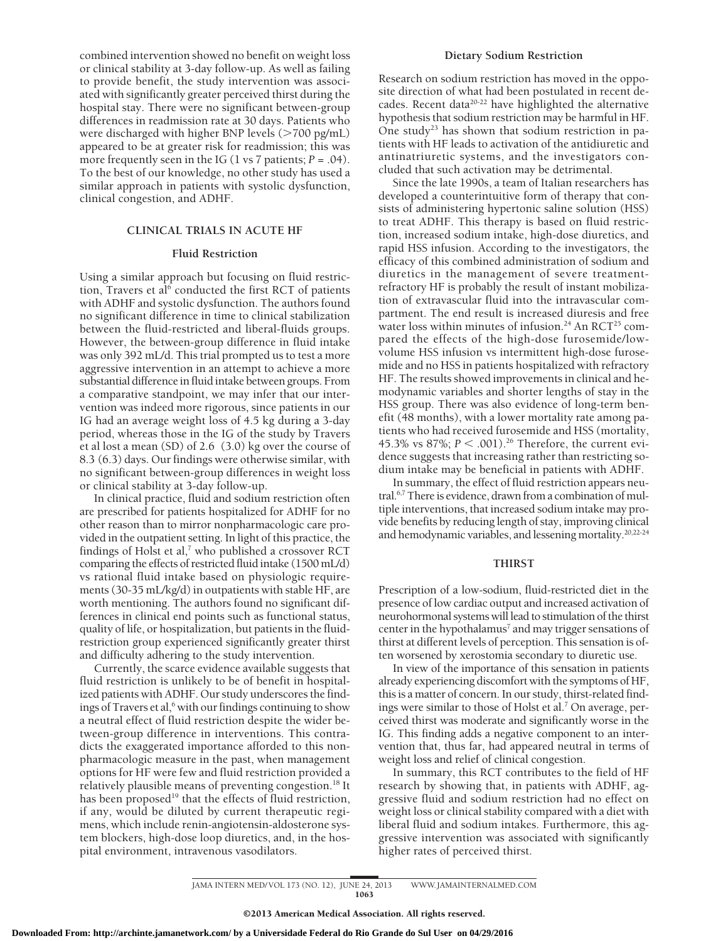combined intervention showed no benefit on weight loss or clinical stability at 3-day follow-up. As well as failing to provide benefit, the study intervention was associated with significantly greater perceived thirst during the hospital stay. There were no significant between-group differences in readmission rate at 30 days. Patients who were discharged with higher BNP levels  $($ >700 pg/mL) appeared to be at greater risk for readmission; this was more frequently seen in the IG  $(1 \text{ vs } 7 \text{ patients}; P = .04)$ . To the best of our knowledge, no other study has used a similar approach in patients with systolic dysfunction, clinical congestion, and ADHF.

#### **CLINICAL TRIALS IN ACUTE HF**

#### **Fluid Restriction**

Using a similar approach but focusing on fluid restriction, Travers et al<sup>6</sup> conducted the first RCT of patients with ADHF and systolic dysfunction. The authors found no significant difference in time to clinical stabilization between the fluid-restricted and liberal-fluids groups. However, the between-group difference in fluid intake was only 392 mL/d. This trial prompted us to test a more aggressive intervention in an attempt to achieve a more substantial difference in fluid intake between groups. From a comparative standpoint, we may infer that our intervention was indeed more rigorous, since patients in our IG had an average weight loss of 4.5 kg during a 3-day period, whereas those in the IG of the study by Travers et al lost a mean (SD) of 2.6 (3.0) kg over the course of 8.3 (6.3) days. Our findings were otherwise similar, with no significant between-group differences in weight loss or clinical stability at 3-day follow-up.

In clinical practice, fluid and sodium restriction often are prescribed for patients hospitalized for ADHF for no other reason than to mirror nonpharmacologic care provided in the outpatient setting. In light of this practice, the findings of Holst et al, $^7$  who published a crossover RCT comparing the effects of restricted fluid intake (1500 mL/d) vs rational fluid intake based on physiologic requirements (30-35 mL/kg/d) in outpatients with stable HF, are worth mentioning. The authors found no significant differences in clinical end points such as functional status, quality of life, or hospitalization, but patients in the fluidrestriction group experienced significantly greater thirst and difficulty adhering to the study intervention.

Currently, the scarce evidence available suggests that fluid restriction is unlikely to be of benefit in hospitalized patients with ADHF. Our study underscores the findings of Travers et al,<sup>6</sup> with our findings continuing to show a neutral effect of fluid restriction despite the wider between-group difference in interventions. This contradicts the exaggerated importance afforded to this nonpharmacologic measure in the past, when management options for HF were few and fluid restriction provided a relatively plausible means of preventing congestion.<sup>18</sup> It has been proposed<sup>19</sup> that the effects of fluid restriction, if any, would be diluted by current therapeutic regimens, which include renin-angiotensin-aldosterone system blockers, high-dose loop diuretics, and, in the hospital environment, intravenous vasodilators.

#### **Dietary Sodium Restriction**

Research on sodium restriction has moved in the opposite direction of what had been postulated in recent decades. Recent data $20-22$  have highlighted the alternative hypothesis that sodium restriction may be harmful in HF. One study<sup>23</sup> has shown that sodium restriction in patients with HF leads to activation of the antidiuretic and antinatriuretic systems, and the investigators concluded that such activation may be detrimental.

Since the late 1990s, a team of Italian researchers has developed a counterintuitive form of therapy that consists of administering hypertonic saline solution (HSS) to treat ADHF. This therapy is based on fluid restriction, increased sodium intake, high-dose diuretics, and rapid HSS infusion. According to the investigators, the efficacy of this combined administration of sodium and diuretics in the management of severe treatmentrefractory HF is probably the result of instant mobilization of extravascular fluid into the intravascular compartment. The end result is increased diuresis and free water loss within minutes of infusion.<sup>24</sup> An RCT<sup>25</sup> compared the effects of the high-dose furosemide/lowvolume HSS infusion vs intermittent high-dose furosemide and no HSS in patients hospitalized with refractory HF. The results showed improvements in clinical and hemodynamic variables and shorter lengths of stay in the HSS group. There was also evidence of long-term benefit (48 months), with a lower mortality rate among patients who had received furosemide and HSS (mortality, 45.3% vs 87%;  $P < .001$ ).<sup>26</sup> Therefore, the current evidence suggests that increasing rather than restricting sodium intake may be beneficial in patients with ADHF.

In summary, the effect of fluid restriction appears neutral.<sup>6,7</sup> There is evidence, drawn from a combination of multiple interventions, that increased sodium intake may provide benefits by reducing length of stay, improving clinical and hemodynamic variables, and lessening mortality.20,22-24

#### **THIRST**

Prescription of a low-sodium, fluid-restricted diet in the presence of low cardiac output and increased activation of neurohormonal systems will lead to stimulation of the thirst center in the hypothalamus<sup>7</sup> and may trigger sensations of thirst at different levels of perception. This sensation is often worsened by xerostomia secondary to diuretic use.

In view of the importance of this sensation in patients already experiencing discomfort with the symptoms of HF, this is a matter of concern. In our study, thirst-related findings were similar to those of Holst et al.7 On average, perceived thirst was moderate and significantly worse in the IG. This finding adds a negative component to an intervention that, thus far, had appeared neutral in terms of weight loss and relief of clinical congestion.

In summary, this RCT contributes to the field of HF research by showing that, in patients with ADHF, aggressive fluid and sodium restriction had no effect on weight loss or clinical stability compared with a diet with liberal fluid and sodium intakes. Furthermore, this aggressive intervention was associated with significantly higher rates of perceived thirst.

JAMA INTERN MED/ VOL 173 (NO. 12), JUNE 24, 2013 WWW. JAMAINTERNALMED.COM 1063